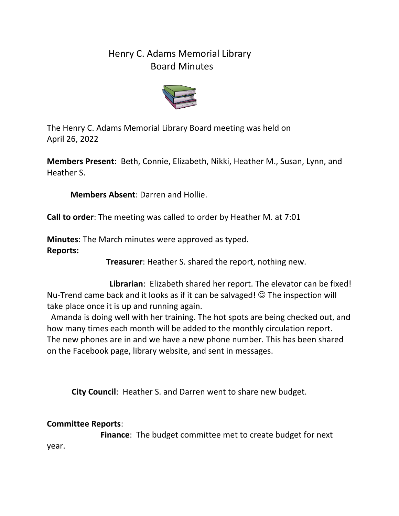## Henry C. Adams Memorial Library Board Minutes



The Henry C. Adams Memorial Library Board meeting was held on April 26, 2022

**Members Present**: Beth, Connie, Elizabeth, Nikki, Heather M., Susan, Lynn, and Heather S.

**Members Absent**: Darren and Hollie.

**Call to order**: The meeting was called to order by Heather M. at 7:01

**Minutes**: The March minutes were approved as typed. **Reports:**

**Treasurer**: Heather S. shared the report, nothing new.

 **Librarian**: Elizabeth shared her report. The elevator can be fixed! Nu-Trend came back and it looks as if it can be salvaged!  $\odot$  The inspection will take place once it is up and running again.

 Amanda is doing well with her training. The hot spots are being checked out, and how many times each month will be added to the monthly circulation report. The new phones are in and we have a new phone number. This has been shared on the Facebook page, library website, and sent in messages.

**City Council**: Heather S. and Darren went to share new budget.

## **Committee Reports**:

 **Finance**: The budget committee met to create budget for next year.